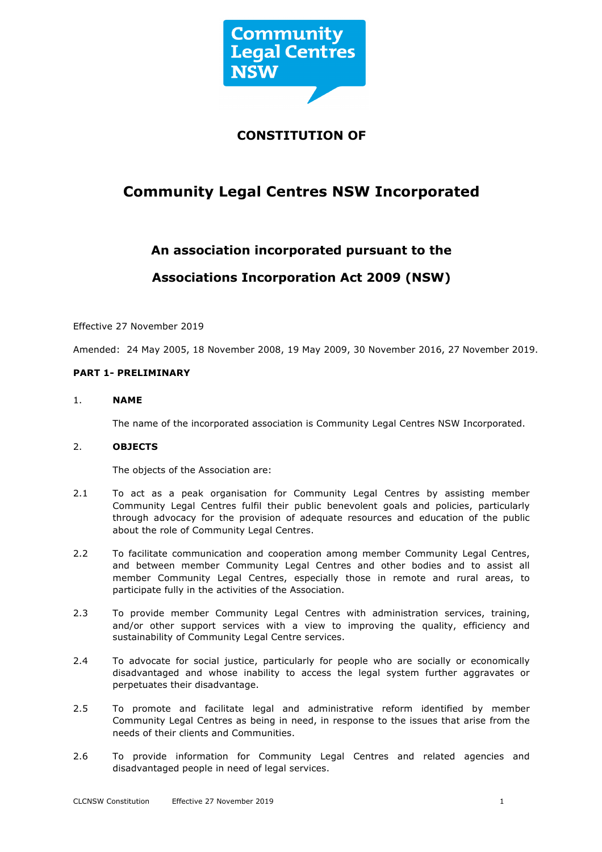

# **CONSTITUTION OF**

# **Community Legal Centres NSW Incorporated**

# **An association incorporated pursuant to the**

# **Associations Incorporation Act 2009 (NSW)**

Effective 27 November 2019

Amended: 24 May 2005, 18 November 2008, 19 May 2009, 30 November 2016, 27 November 2019.

# **PART 1- PRELIMINARY**

# 1. **NAME**

The name of the incorporated association is Community Legal Centres NSW Incorporated.

# 2. **OBJECTS**

The objects of the Association are:

- 2.1 To act as a peak organisation for Community Legal Centres by assisting member Community Legal Centres fulfil their public benevolent goals and policies, particularly through advocacy for the provision of adequate resources and education of the public about the role of Community Legal Centres.
- 2.2 To facilitate communication and cooperation among member Community Legal Centres, and between member Community Legal Centres and other bodies and to assist all member Community Legal Centres, especially those in remote and rural areas, to participate fully in the activities of the Association.
- 2.3 To provide member Community Legal Centres with administration services, training, and/or other support services with a view to improving the quality, efficiency and sustainability of Community Legal Centre services.
- 2.4 To advocate for social justice, particularly for people who are socially or economically disadvantaged and whose inability to access the legal system further aggravates or perpetuates their disadvantage.
- 2.5 To promote and facilitate legal and administrative reform identified by member Community Legal Centres as being in need, in response to the issues that arise from the needs of their clients and Communities.
- 2.6 To provide information for Community Legal Centres and related agencies and disadvantaged people in need of legal services.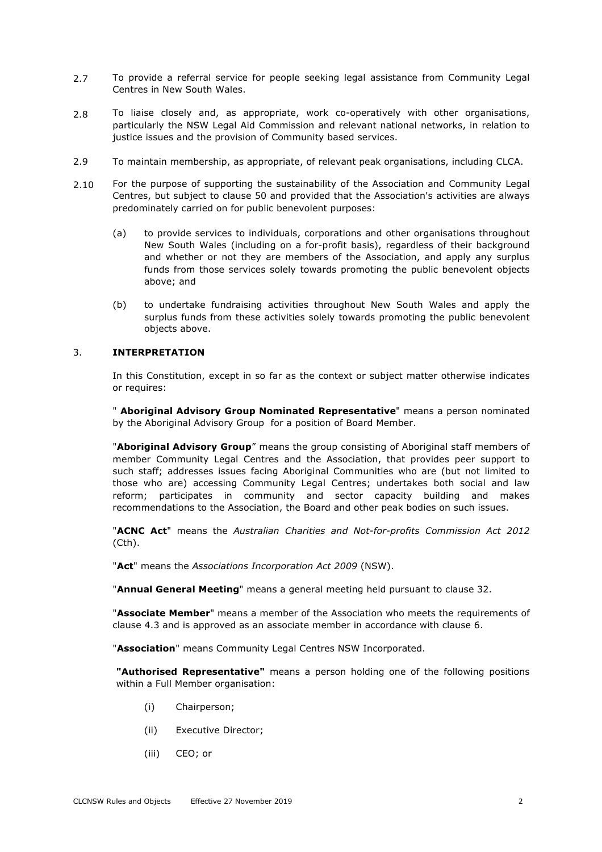- 2.7 To provide a referral service for people seeking legal assistance from Community Legal Centres in New South Wales.
- 2.8 To liaise closely and, as appropriate, work co-operatively with other organisations, particularly the NSW Legal Aid Commission and relevant national networks, in relation to justice issues and the provision of Community based services.
- 2.9 To maintain membership, as appropriate, of relevant peak organisations, including CLCA.
- 2.10 For the purpose of supporting the sustainability of the Association and Community Legal Centres, but subject to clause 50 and provided that the Association's activities are always predominately carried on for public benevolent purposes:
	- (a) to provide services to individuals, corporations and other organisations throughout New South Wales (including on a for-profit basis), regardless of their background and whether or not they are members of the Association, and apply any surplus funds from those services solely towards promoting the public benevolent objects above; and
	- (b) to undertake fundraising activities throughout New South Wales and apply the surplus funds from these activities solely towards promoting the public benevolent objects above.

# 3. **INTERPRETATION**

In this Constitution, except in so far as the context or subject matter otherwise indicates or requires:

" **Aboriginal Advisory Group Nominated Representative**" means a person nominated by the Aboriginal Advisory Group for a position of Board Member.

"**Aboriginal Advisory Group**" means the group consisting of Aboriginal staff members of member Community Legal Centres and the Association, that provides peer support to such staff; addresses issues facing Aboriginal Communities who are (but not limited to those who are) accessing Community Legal Centres; undertakes both social and law reform; participates in community and sector capacity building and makes recommendations to the Association, the Board and other peak bodies on such issues.

"**ACNC Act**" means the *Australian Charities and Not-for-profits Commission Act 2012* (Cth).

"**Act**" means the *Associations Incorporation Act 2009* (NSW).

"**Annual General Meeting**" means a general meeting held pursuant to clause 32.

"**Associate Member**" means a member of the Association who meets the requirements of clause 4.3 and is approved as an associate member in accordance with clause 6.

"**Association**" means Community Legal Centres NSW Incorporated.

**"Authorised Representative"** means a person holding one of the following positions within a Full Member organisation:

- (i) Chairperson;
- (ii) Executive Director;
- (iii) CEO; or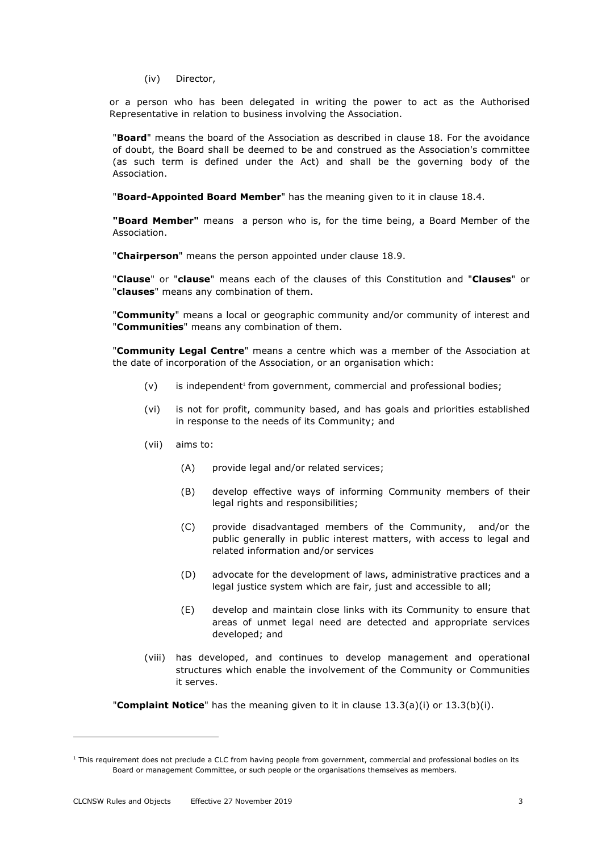(iv) Director,

or a person who has been delegated in writing the power to act as the Authorised Representative in relation to business involving the Association.

"**Board**" means the board of the Association as described in clause 18. For the avoidance of doubt, the Board shall be deemed to be and construed as the Association's committee (as such term is defined under the Act) and shall be the governing body of the Association.

"**Board-Appointed Board Member**" has the meaning given to it in clause 18.4.

**"Board Member"** means a person who is, for the time being, a Board Member of the Association.

"**Chairperson**" means the person appointed under clause 18.9.

"**Clause**" or "**clause**" means each of the clauses of this Constitution and "**Clauses**" or "**clauses**" means any combination of them.

"**Community**" means a local or geographic community and/or community of interest and "**Communities**" means any combination of them.

"**Community Legal Centre**" means a centre which was a member of the Association at the date of incorporation of the Association, or an organisation which:

- $(v)$  is independent<sup>1</sup> from government, commercial and professional bodies;
- (vi) is not for profit, community based, and has goals and priorities established in response to the needs of its Community; and
- (vii) aims to:
	- (A) provide legal and/or related services;
	- (B) develop effective ways of informing Community members of their legal rights and responsibilities;
	- (C) provide disadvantaged members of the Community, and/or the public generally in public interest matters, with access to legal and related information and/or services
	- (D) advocate for the development of laws, administrative practices and a legal justice system which are fair, just and accessible to all;
	- (E) develop and maintain close links with its Community to ensure that areas of unmet legal need are detected and appropriate services developed; and
- (viii) has developed, and continues to develop management and operational structures which enable the involvement of the Community or Communities it serves.

"**Complaint Notice**" has the meaning given to it in clause 13.3(a)(i) or 13.3(b)(i).

 $1$  This requirement does not preclude a CLC from having people from government, commercial and professional bodies on its Board or management Committee, or such people or the organisations themselves as members.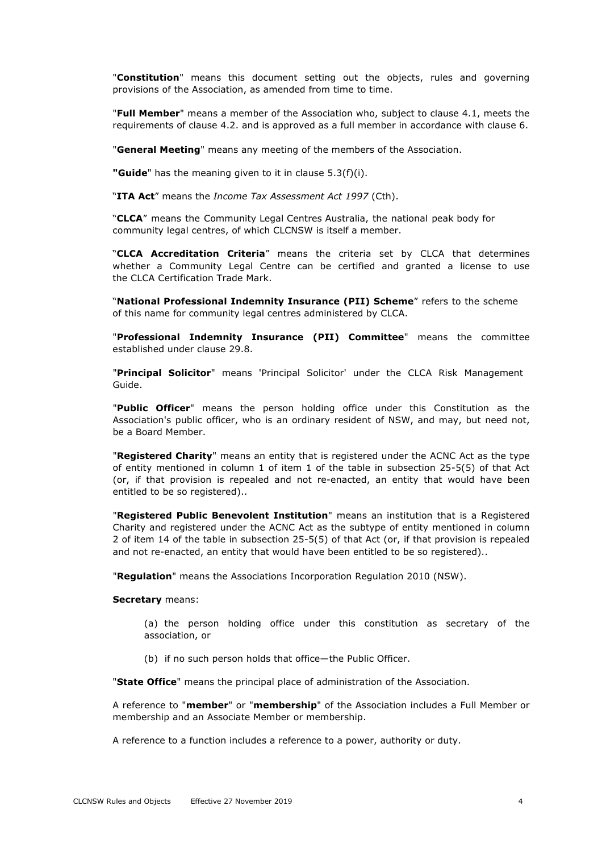"**Constitution**" means this document setting out the objects, rules and governing provisions of the Association, as amended from time to time.

"**Full Member**" means a member of the Association who, subject to clause 4.1, meets the requirements of clause 4.2. and is approved as a full member in accordance with clause 6.

"**General Meeting**" means any meeting of the members of the Association.

**"Guide**" has the meaning given to it in clause 5.3(f)(i).

"**ITA Act**" means the *Income Tax Assessment Act 1997* (Cth).

"**CLCA**" means the Community Legal Centres Australia, the national peak body for community legal centres, of which CLCNSW is itself a member.

"**CLCA Accreditation Criteria**" means the criteria set by CLCA that determines whether a Community Legal Centre can be certified and granted a license to use the CLCA Certification Trade Mark.

"**National Professional Indemnity Insurance (PII) Scheme**" refers to the scheme of this name for community legal centres administered by CLCA.

"**Professional Indemnity Insurance (PII) Committee**" means the committee established under clause 29.8.

"**Principal Solicitor**" means 'Principal Solicitor' under the CLCA Risk Management Guide.

"**Public Officer**" means the person holding office under this Constitution as the Association's public officer, who is an ordinary resident of NSW, and may, but need not, be a Board Member.

"**Registered Charity**" means an entity that is registered under the ACNC Act as the type of entity mentioned in column 1 of item 1 of the table in subsection 25-5(5) of that Act (or, if that provision is repealed and not re-enacted, an entity that would have been entitled to be so registered)..

"**Registered Public Benevolent Institution**" means an institution that is a Registered Charity and registered under the ACNC Act as the subtype of entity mentioned in column 2 of item 14 of the table in subsection 25-5(5) of that Act (or, if that provision is repealed and not re-enacted, an entity that would have been entitled to be so registered)..

"**Regulation**" means the Associations Incorporation Regulation 2010 (NSW).

#### **Secretary** means:

(a) the person holding office under this constitution as secretary of the association, or

(b) if no such person holds that office—the Public Officer.

"**State Office**" means the principal place of administration of the Association.

A reference to "**member**" or "**membership**" of the Association includes a Full Member or membership and an Associate Member or membership.

A reference to a function includes a reference to a power, authority or duty.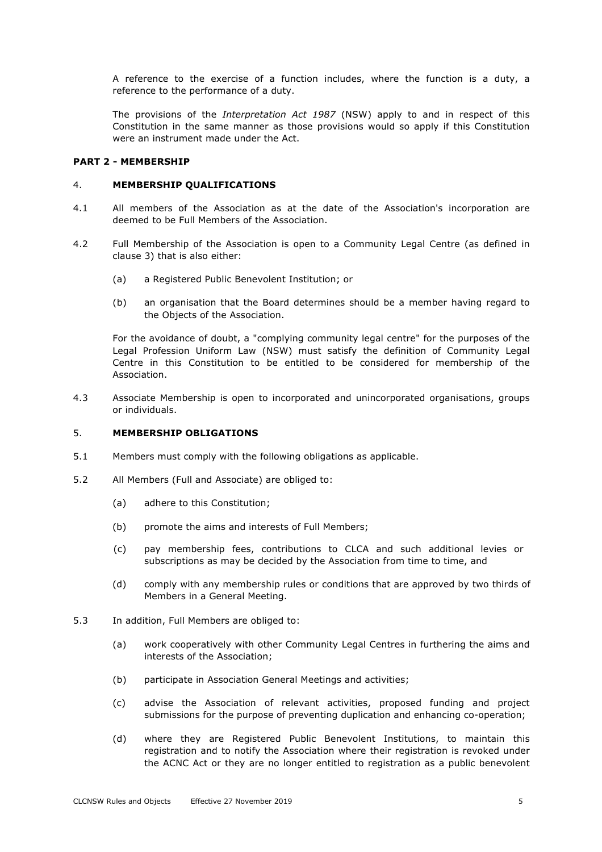A reference to the exercise of a function includes, where the function is a duty, a reference to the performance of a duty.

The provisions of the *Interpretation Act 1987* (NSW) apply to and in respect of this Constitution in the same manner as those provisions would so apply if this Constitution were an instrument made under the Act.

### **PART 2 - MEMBERSHIP**

#### 4. **MEMBERSHIP QUALIFICATIONS**

- 4.1 All members of the Association as at the date of the Association's incorporation are deemed to be Full Members of the Association.
- 4.2 Full Membership of the Association is open to a Community Legal Centre (as defined in clause 3) that is also either:
	- (a) a Registered Public Benevolent Institution; or
	- (b) an organisation that the Board determines should be a member having regard to the Objects of the Association.

For the avoidance of doubt, a "complying community legal centre" for the purposes of the Legal Profession Uniform Law (NSW) must satisfy the definition of Community Legal Centre in this Constitution to be entitled to be considered for membership of the Association.

4.3 Associate Membership is open to incorporated and unincorporated organisations, groups or individuals.

#### 5. **MEMBERSHIP OBLIGATIONS**

- 5.1 Members must comply with the following obligations as applicable.
- 5.2 All Members (Full and Associate) are obliged to:
	- (a) adhere to this Constitution;
	- (b) promote the aims and interests of Full Members;
	- (c) pay membership fees, contributions to CLCA and such additional levies or subscriptions as may be decided by the Association from time to time, and
	- (d) comply with any membership rules or conditions that are approved by two thirds of Members in a General Meeting.
- 5.3 In addition, Full Members are obliged to:
	- (a) work cooperatively with other Community Legal Centres in furthering the aims and interests of the Association;
	- (b) participate in Association General Meetings and activities;
	- (c) advise the Association of relevant activities, proposed funding and project submissions for the purpose of preventing duplication and enhancing co-operation;
	- (d) where they are Registered Public Benevolent Institutions, to maintain this registration and to notify the Association where their registration is revoked under the ACNC Act or they are no longer entitled to registration as a public benevolent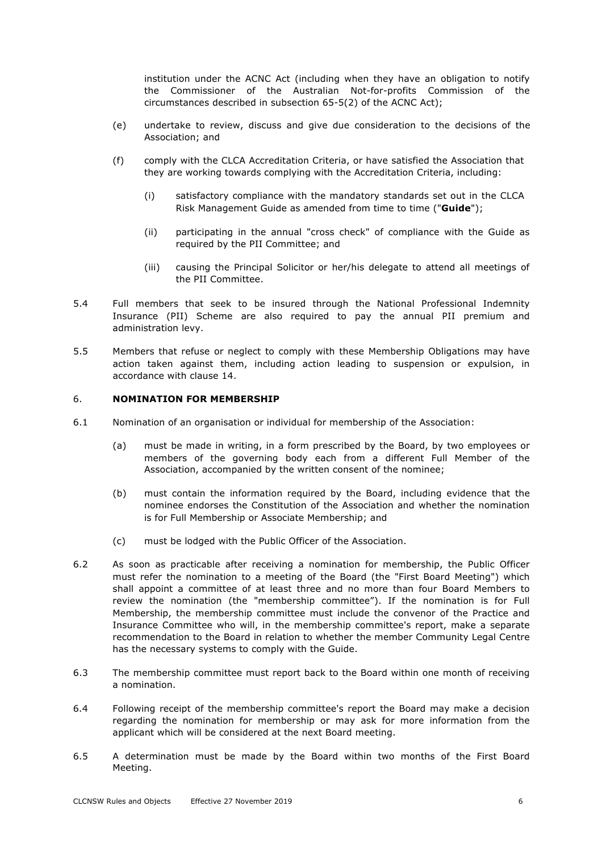institution under the ACNC Act (including when they have an obligation to notify the Commissioner of the Australian Not-for-profits Commission of the circumstances described in subsection 65-5(2) of the ACNC Act);

- (e) undertake to review, discuss and give due consideration to the decisions of the Association; and
- (f) comply with the CLCA Accreditation Criteria, or have satisfied the Association that they are working towards complying with the Accreditation Criteria, including:
	- (i) satisfactory compliance with the mandatory standards set out in the CLCA Risk Management Guide as amended from time to time ("**Guide**");
	- (ii) participating in the annual "cross check" of compliance with the Guide as required by the PII Committee; and
	- (iii) causing the Principal Solicitor or her/his delegate to attend all meetings of the PII Committee.
- 5.4 Full members that seek to be insured through the National Professional Indemnity Insurance (PII) Scheme are also required to pay the annual PII premium and administration levy.
- 5.5 Members that refuse or neglect to comply with these Membership Obligations may have action taken against them, including action leading to suspension or expulsion, in accordance with clause 14.

#### 6. **NOMINATION FOR MEMBERSHIP**

- 6.1 Nomination of an organisation or individual for membership of the Association:
	- (a) must be made in writing, in a form prescribed by the Board, by two employees or members of the governing body each from a different Full Member of the Association, accompanied by the written consent of the nominee;
	- (b) must contain the information required by the Board, including evidence that the nominee endorses the Constitution of the Association and whether the nomination is for Full Membership or Associate Membership; and
	- (c) must be lodged with the Public Officer of the Association.
- 6.2 As soon as practicable after receiving a nomination for membership, the Public Officer must refer the nomination to a meeting of the Board (the "First Board Meeting") which shall appoint a committee of at least three and no more than four Board Members to review the nomination (the "membership committee"). If the nomination is for Full Membership, the membership committee must include the convenor of the Practice and Insurance Committee who will, in the membership committee's report, make a separate recommendation to the Board in relation to whether the member Community Legal Centre has the necessary systems to comply with the Guide.
- 6.3 The membership committee must report back to the Board within one month of receiving a nomination.
- 6.4 Following receipt of the membership committee's report the Board may make a decision regarding the nomination for membership or may ask for more information from the applicant which will be considered at the next Board meeting.
- 6.5 A determination must be made by the Board within two months of the First Board Meeting.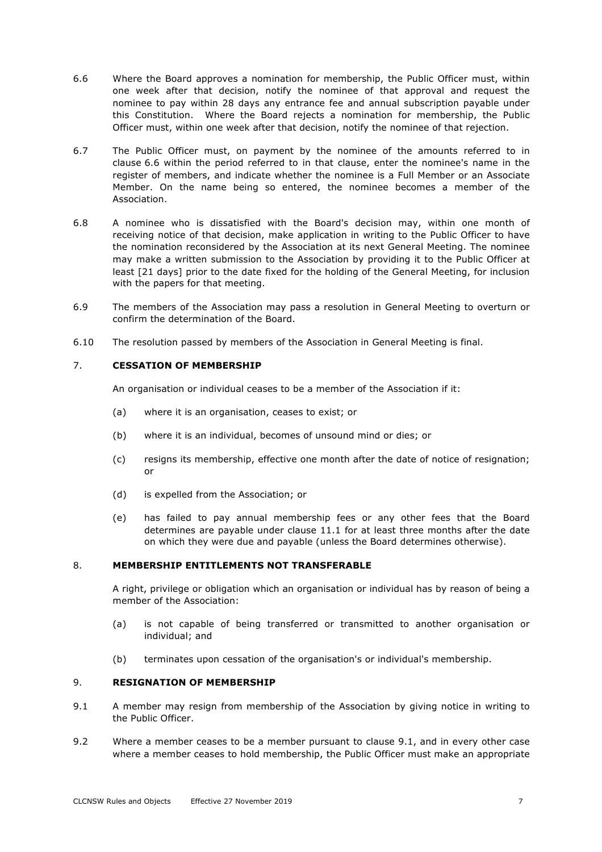- 6.6 Where the Board approves a nomination for membership, the Public Officer must, within one week after that decision, notify the nominee of that approval and request the nominee to pay within 28 days any entrance fee and annual subscription payable under this Constitution. Where the Board rejects a nomination for membership, the Public Officer must, within one week after that decision, notify the nominee of that rejection.
- 6.7 The Public Officer must, on payment by the nominee of the amounts referred to in clause 6.6 within the period referred to in that clause, enter the nominee's name in the register of members, and indicate whether the nominee is a Full Member or an Associate Member. On the name being so entered, the nominee becomes a member of the Association.
- 6.8 A nominee who is dissatisfied with the Board's decision may, within one month of receiving notice of that decision, make application in writing to the Public Officer to have the nomination reconsidered by the Association at its next General Meeting. The nominee may make a written submission to the Association by providing it to the Public Officer at least [21 days] prior to the date fixed for the holding of the General Meeting, for inclusion with the papers for that meeting.
- 6.9 The members of the Association may pass a resolution in General Meeting to overturn or confirm the determination of the Board.
- 6.10 The resolution passed by members of the Association in General Meeting is final.

# 7. **CESSATION OF MEMBERSHIP**

An organisation or individual ceases to be a member of the Association if it:

- (a) where it is an organisation, ceases to exist; or
- (b) where it is an individual, becomes of unsound mind or dies; or
- (c) resigns its membership, effective one month after the date of notice of resignation; or
- (d) is expelled from the Association; or
- (e) has failed to pay annual membership fees or any other fees that the Board determines are payable under clause 11.1 for at least three months after the date on which they were due and payable (unless the Board determines otherwise).

#### 8. **MEMBERSHIP ENTITLEMENTS NOT TRANSFERABLE**

A right, privilege or obligation which an organisation or individual has by reason of being a member of the Association:

- (a) is not capable of being transferred or transmitted to another organisation or individual; and
- (b) terminates upon cessation of the organisation's or individual's membership.

# 9. **RESIGNATION OF MEMBERSHIP**

- 9.1 A member may resign from membership of the Association by giving notice in writing to the Public Officer.
- 9.2 Where a member ceases to be a member pursuant to clause 9.1, and in every other case where a member ceases to hold membership, the Public Officer must make an appropriate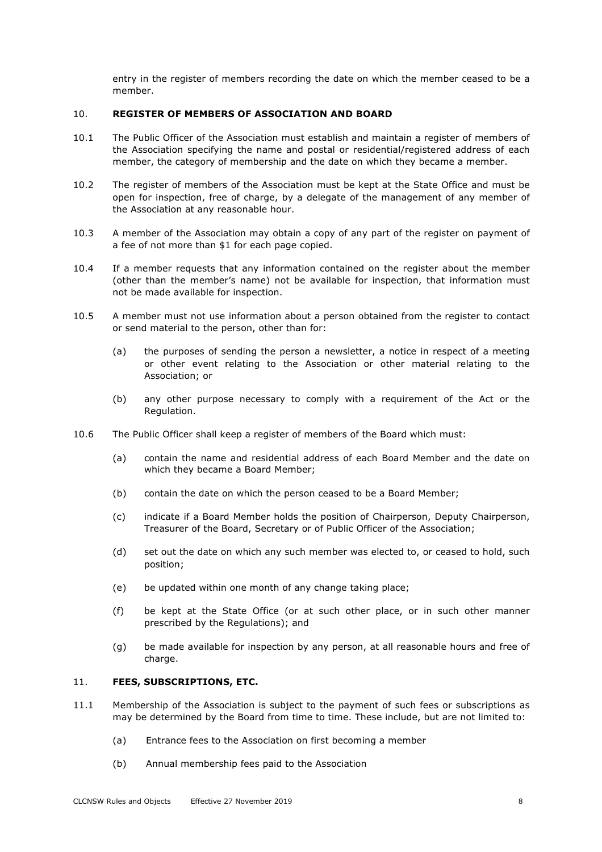entry in the register of members recording the date on which the member ceased to be a member.

#### 10. **REGISTER OF MEMBERS OF ASSOCIATION AND BOARD**

- 10.1 The Public Officer of the Association must establish and maintain a register of members of the Association specifying the name and postal or residential/registered address of each member, the category of membership and the date on which they became a member.
- 10.2 The register of members of the Association must be kept at the State Office and must be open for inspection, free of charge, by a delegate of the management of any member of the Association at any reasonable hour.
- 10.3 A member of the Association may obtain a copy of any part of the register on payment of a fee of not more than \$1 for each page copied.
- 10.4 If a member requests that any information contained on the register about the member (other than the member's name) not be available for inspection, that information must not be made available for inspection.
- 10.5 A member must not use information about a person obtained from the register to contact or send material to the person, other than for:
	- (a) the purposes of sending the person a newsletter, a notice in respect of a meeting or other event relating to the Association or other material relating to the Association; or
	- (b) any other purpose necessary to comply with a requirement of the Act or the Regulation.
- 10.6 The Public Officer shall keep a register of members of the Board which must:
	- (a) contain the name and residential address of each Board Member and the date on which they became a Board Member;
	- (b) contain the date on which the person ceased to be a Board Member;
	- (c) indicate if a Board Member holds the position of Chairperson, Deputy Chairperson, Treasurer of the Board, Secretary or of Public Officer of the Association;
	- (d) set out the date on which any such member was elected to, or ceased to hold, such position;
	- (e) be updated within one month of any change taking place;
	- (f) be kept at the State Office (or at such other place, or in such other manner prescribed by the Regulations); and
	- (g) be made available for inspection by any person, at all reasonable hours and free of charge.

#### 11. **FEES, SUBSCRIPTIONS, ETC.**

- 11.1 Membership of the Association is subject to the payment of such fees or subscriptions as may be determined by the Board from time to time. These include, but are not limited to:
	- (a) Entrance fees to the Association on first becoming a member
	- (b) Annual membership fees paid to the Association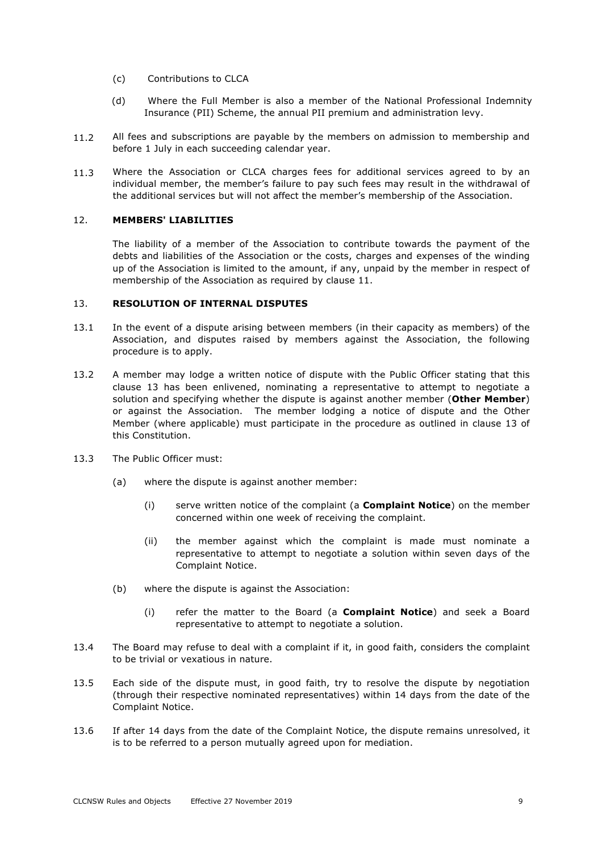- (c) Contributions to CLCA
- (d) Where the Full Member is also a member of the National Professional Indemnity Insurance (PII) Scheme, the annual PII premium and administration levy.
- 11.2 All fees and subscriptions are payable by the members on admission to membership and before 1 July in each succeeding calendar year.
- 11.3 Where the Association or CLCA charges fees for additional services agreed to by an individual member, the member's failure to pay such fees may result in the withdrawal of the additional services but will not affect the member's membership of the Association.

# 12. **MEMBERS' LIABILITIES**

The liability of a member of the Association to contribute towards the payment of the debts and liabilities of the Association or the costs, charges and expenses of the winding up of the Association is limited to the amount, if any, unpaid by the member in respect of membership of the Association as required by clause 11.

#### 13. **RESOLUTION OF INTERNAL DISPUTES**

- 13.1 In the event of a dispute arising between members (in their capacity as members) of the Association, and disputes raised by members against the Association, the following procedure is to apply.
- 13.2 A member may lodge a written notice of dispute with the Public Officer stating that this clause 13 has been enlivened, nominating a representative to attempt to negotiate a solution and specifying whether the dispute is against another member (**Other Member**) or against the Association. The member lodging a notice of dispute and the Other Member (where applicable) must participate in the procedure as outlined in clause 13 of this Constitution.
- 13.3 The Public Officer must:
	- (a) where the dispute is against another member:
		- (i) serve written notice of the complaint (a **Complaint Notice**) on the member concerned within one week of receiving the complaint.
		- (ii) the member against which the complaint is made must nominate a representative to attempt to negotiate a solution within seven days of the Complaint Notice.
	- (b) where the dispute is against the Association:
		- (i) refer the matter to the Board (a **Complaint Notice**) and seek a Board representative to attempt to negotiate a solution.
- 13.4 The Board may refuse to deal with a complaint if it, in good faith, considers the complaint to be trivial or vexatious in nature.
- 13.5 Each side of the dispute must, in good faith, try to resolve the dispute by negotiation (through their respective nominated representatives) within 14 days from the date of the Complaint Notice.
- 13.6 If after 14 days from the date of the Complaint Notice, the dispute remains unresolved, it is to be referred to a person mutually agreed upon for mediation.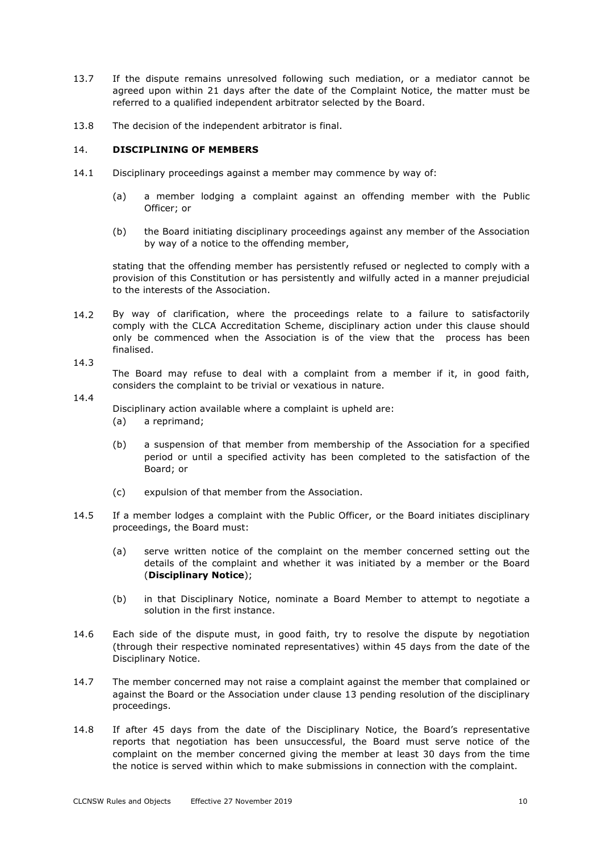- 13.7 If the dispute remains unresolved following such mediation, or a mediator cannot be agreed upon within 21 days after the date of the Complaint Notice, the matter must be referred to a qualified independent arbitrator selected by the Board.
- 13.8 The decision of the independent arbitrator is final.

### 14. **DISCIPLINING OF MEMBERS**

- 14.1 Disciplinary proceedings against a member may commence by way of:
	- (a) a member lodging a complaint against an offending member with the Public Officer; or
	- (b) the Board initiating disciplinary proceedings against any member of the Association by way of a notice to the offending member,

stating that the offending member has persistently refused or neglected to comply with a provision of this Constitution or has persistently and wilfully acted in a manner prejudicial to the interests of the Association.

14.2 By way of clarification, where the proceedings relate to a failure to satisfactorily comply with the CLCA Accreditation Scheme, disciplinary action under this clause should only be commenced when the Association is of the view that the process has been finalised.

14.3

The Board may refuse to deal with a complaint from a member if it, in good faith, considers the complaint to be trivial or vexatious in nature.

14.4

Disciplinary action available where a complaint is upheld are:

- (a) a reprimand;
- (b) a suspension of that member from membership of the Association for a specified period or until a specified activity has been completed to the satisfaction of the Board; or
- (c) expulsion of that member from the Association.
- 14.5 If a member lodges a complaint with the Public Officer, or the Board initiates disciplinary proceedings, the Board must:
	- (a) serve written notice of the complaint on the member concerned setting out the details of the complaint and whether it was initiated by a member or the Board (**Disciplinary Notice**);
	- (b) in that Disciplinary Notice, nominate a Board Member to attempt to negotiate a solution in the first instance.
- 14.6 Each side of the dispute must, in good faith, try to resolve the dispute by negotiation (through their respective nominated representatives) within 45 days from the date of the Disciplinary Notice.
- 14.7 The member concerned may not raise a complaint against the member that complained or against the Board or the Association under clause 13 pending resolution of the disciplinary proceedings.
- 14.8 If after 45 days from the date of the Disciplinary Notice, the Board's representative reports that negotiation has been unsuccessful, the Board must serve notice of the complaint on the member concerned giving the member at least 30 days from the time the notice is served within which to make submissions in connection with the complaint.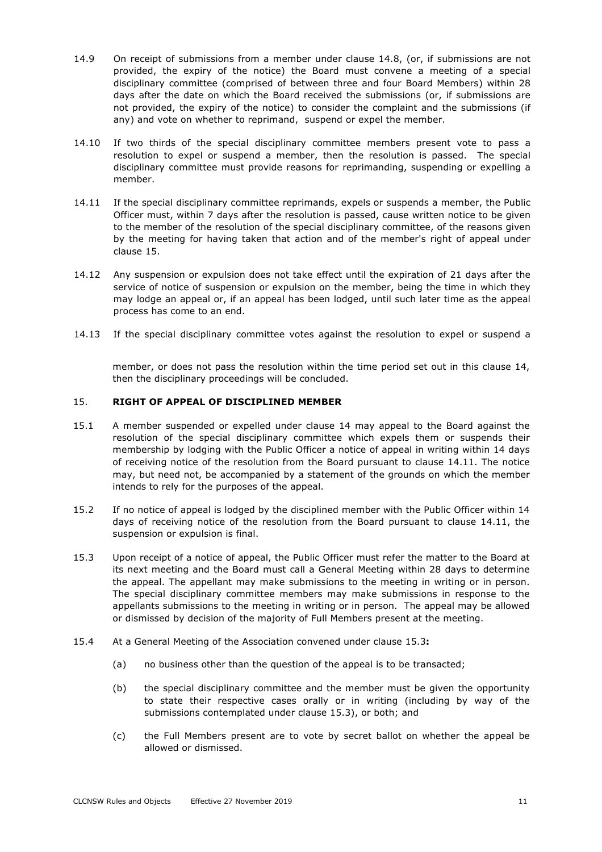- 14.9 On receipt of submissions from a member under clause 14.8, (or, if submissions are not provided, the expiry of the notice) the Board must convene a meeting of a special disciplinary committee (comprised of between three and four Board Members) within 28 days after the date on which the Board received the submissions (or, if submissions are not provided, the expiry of the notice) to consider the complaint and the submissions (if any) and vote on whether to reprimand, suspend or expel the member.
- 14.10 If two thirds of the special disciplinary committee members present vote to pass a resolution to expel or suspend a member, then the resolution is passed. The special disciplinary committee must provide reasons for reprimanding, suspending or expelling a member.
- 14.11 If the special disciplinary committee reprimands, expels or suspends a member, the Public Officer must, within 7 days after the resolution is passed, cause written notice to be given to the member of the resolution of the special disciplinary committee, of the reasons given by the meeting for having taken that action and of the member's right of appeal under clause 15.
- 14.12 Any suspension or expulsion does not take effect until the expiration of 21 days after the service of notice of suspension or expulsion on the member, being the time in which they may lodge an appeal or, if an appeal has been lodged, until such later time as the appeal process has come to an end.
- 14.13 If the special disciplinary committee votes against the resolution to expel or suspend a

member, or does not pass the resolution within the time period set out in this clause 14, then the disciplinary proceedings will be concluded.

#### 15. **RIGHT OF APPEAL OF DISCIPLINED MEMBER**

- 15.1 A member suspended or expelled under clause 14 may appeal to the Board against the resolution of the special disciplinary committee which expels them or suspends their membership by lodging with the Public Officer a notice of appeal in writing within 14 days of receiving notice of the resolution from the Board pursuant to clause 14.11. The notice may, but need not, be accompanied by a statement of the grounds on which the member intends to rely for the purposes of the appeal.
- 15.2 If no notice of appeal is lodged by the disciplined member with the Public Officer within 14 days of receiving notice of the resolution from the Board pursuant to clause 14.11, the suspension or expulsion is final.
- 15.3 Upon receipt of a notice of appeal, the Public Officer must refer the matter to the Board at its next meeting and the Board must call a General Meeting within 28 days to determine the appeal. The appellant may make submissions to the meeting in writing or in person. The special disciplinary committee members may make submissions in response to the appellants submissions to the meeting in writing or in person. The appeal may be allowed or dismissed by decision of the majority of Full Members present at the meeting.
- 15.4 At a General Meeting of the Association convened under clause 15.3**:**
	- (a) no business other than the question of the appeal is to be transacted;
	- (b) the special disciplinary committee and the member must be given the opportunity to state their respective cases orally or in writing (including by way of the submissions contemplated under clause 15.3), or both; and
	- (c) the Full Members present are to vote by secret ballot on whether the appeal be allowed or dismissed.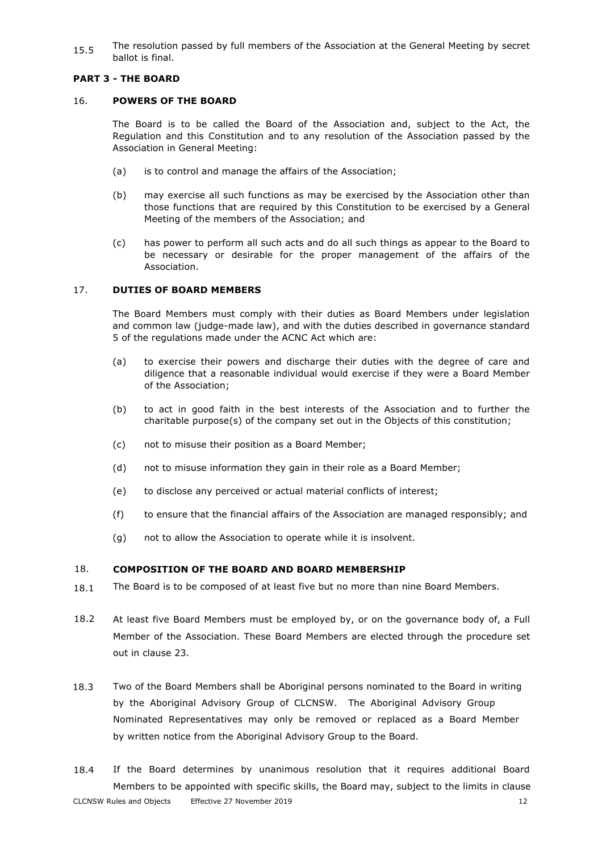15.5 The resolution passed by full members of the Association at the General Meeting by secret ballot is final.

# **PART 3 - THE BOARD**

### 16. **POWERS OF THE BOARD**

The Board is to be called the Board of the Association and, subject to the Act, the Regulation and this Constitution and to any resolution of the Association passed by the Association in General Meeting:

- (a) is to control and manage the affairs of the Association;
- (b) may exercise all such functions as may be exercised by the Association other than those functions that are required by this Constitution to be exercised by a General Meeting of the members of the Association; and
- (c) has power to perform all such acts and do all such things as appear to the Board to be necessary or desirable for the proper management of the affairs of the Association.

# 17. **DUTIES OF BOARD MEMBERS**

The Board Members must comply with their duties as Board Members under legislation and common law (judge-made law), and with the duties described in governance standard 5 of the regulations made under the ACNC Act which are:

- (a) to exercise their powers and discharge their duties with the degree of care and diligence that a reasonable individual would exercise if they were a Board Member of the Association;
- (b) to act in good faith in the best interests of the Association and to further the charitable purpose(s) of the company set out in the Objects of this constitution;
- (c) not to misuse their position as a Board Member;
- (d) not to misuse information they gain in their role as a Board Member;
- (e) to disclose any perceived or actual material conflicts of interest;
- (f) to ensure that the financial affairs of the Association are managed responsibly; and
- (g) not to allow the Association to operate while it is insolvent.

#### 18. **COMPOSITION OF THE BOARD AND BOARD MEMBERSHIP**

- 18.1 The Board is to be composed of at least five but no more than nine Board Members.
- 18.2 At least five Board Members must be employed by, or on the governance body of, a Full Member of the Association. These Board Members are elected through the procedure set out in clause 23.
- 18.3 Two of the Board Members shall be Aboriginal persons nominated to the Board in writing by the Aboriginal Advisory Group of CLCNSW. The Aboriginal Advisory Group Nominated Representatives may only be removed or replaced as a Board Member by written notice from the Aboriginal Advisory Group to the Board.
- CLCNSW Rules and Objects Effective 27 November 2019 12 18.4 If the Board determines by unanimous resolution that it requires additional Board Members to be appointed with specific skills, the Board may, subject to the limits in clause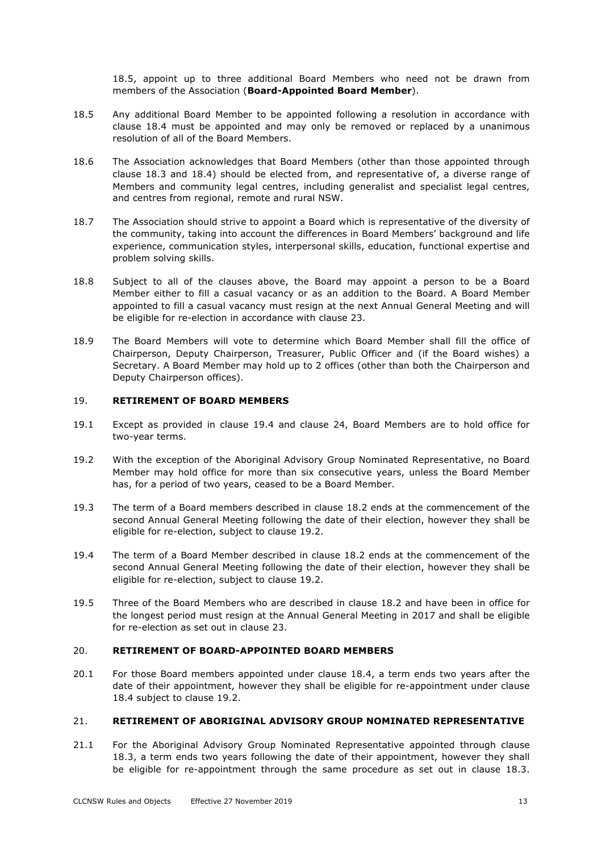18.5, appoint up to three additional Board Members who need not be drawn from members of the Association (**Board-Appointed Board Member**).

- 18.5 Any additional Board Member to be appointed following a resolution in accordance with clause 18.4 must be appointed and may only be removed or replaced by a unanimous resolution of all of the Board Members.
- 18.6 The Association acknowledges that Board Members (other than those appointed through clause 18.3 and 18.4) should be elected from, and representative of, a diverse range of Members and community legal centres, including generalist and specialist legal centres, and centres from regional, remote and rural NSW.
- 18.7 The Association should strive to appoint a Board which is representative of the diversity of the community, taking into account the differences in Board Members' background and life experience, communication styles, interpersonal skills, education, functional expertise and problem solving skills.
- 18.8 Subject to all of the clauses above, the Board may appoint a person to be a Board Member either to fill a casual vacancy or as an addition to the Board. A Board Member appointed to fill a casual vacancy must resign at the next Annual General Meeting and will be eligible for re-election in accordance with clause 23.
- 18.9 The Board Members will vote to determine which Board Member shall fill the office of Chairperson, Deputy Chairperson, Treasurer, Public Officer and (if the Board wishes) a Secretary. A Board Member may hold up to 2 offices (other than both the Chairperson and Deputy Chairperson offices).

#### 19. **RETIREMENT OF BOARD MEMBERS**

- 19.1 Except as provided in clause 19.4 and clause 24, Board Members are to hold office for two-year terms.
- 19.2 With the exception of the Aboriginal Advisory Group Nominated Representative, no Board Member may hold office for more than six consecutive years, unless the Board Member has, for a period of two years, ceased to be a Board Member.
- 19.3 The term of a Board members described in clause 18.2 ends at the commencement of the second Annual General Meeting following the date of their election, however they shall be eligible for re-election, subject to clause 19.2.
- 19.4 The term of a Board Member described in clause 18.2 ends at the commencement of the second Annual General Meeting following the date of their election, however they shall be eligible for re-election, subject to clause 19.2.
- 19.5 Three of the Board Members who are described in clause 18.2 and have been in office for the longest period must resign at the Annual General Meeting in 2017 and shall be eligible for re-election as set out in clause 23.

#### 20. **RETIREMENT OF BOARD-APPOINTED BOARD MEMBERS**

20.1 For those Board members appointed under clause 18.4, a term ends two years after the date of their appointment, however they shall be eligible for re-appointment under clause 18.4 subject to clause 19.2.

#### 21. **RETIREMENT OF ABORIGINAL ADVISORY GROUP NOMINATED REPRESENTATIVE**

21.1 For the Aboriginal Advisory Group Nominated Representative appointed through clause 18.3, a term ends two years following the date of their appointment, however they shall be eligible for re-appointment through the same procedure as set out in clause 18.3.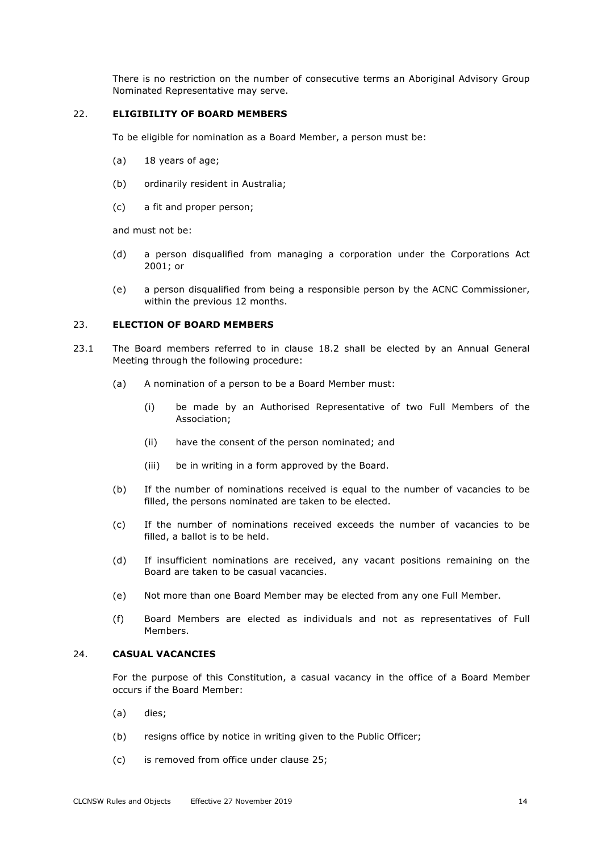There is no restriction on the number of consecutive terms an Aboriginal Advisory Group Nominated Representative may serve.

#### 22. **ELIGIBILITY OF BOARD MEMBERS**

To be eligible for nomination as a Board Member, a person must be:

- (a) 18 years of age;
- (b) ordinarily resident in Australia;
- (c) a fit and proper person;

and must not be:

- (d) a person disqualified from managing a corporation under the Corporations Act 2001; or
- (e) a person disqualified from being a responsible person by the ACNC Commissioner, within the previous 12 months.

#### 23. **ELECTION OF BOARD MEMBERS**

- 23.1 The Board members referred to in clause 18.2 shall be elected by an Annual General Meeting through the following procedure:
	- (a) A nomination of a person to be a Board Member must:
		- (i) be made by an Authorised Representative of two Full Members of the Association;
		- (ii) have the consent of the person nominated; and
		- (iii) be in writing in a form approved by the Board.
	- (b) If the number of nominations received is equal to the number of vacancies to be filled, the persons nominated are taken to be elected.
	- (c) If the number of nominations received exceeds the number of vacancies to be filled, a ballot is to be held.
	- (d) If insufficient nominations are received, any vacant positions remaining on the Board are taken to be casual vacancies.
	- (e) Not more than one Board Member may be elected from any one Full Member.
	- (f) Board Members are elected as individuals and not as representatives of Full Members.

#### 24. **CASUAL VACANCIES**

For the purpose of this Constitution, a casual vacancy in the office of a Board Member occurs if the Board Member:

- (a) dies;
- (b) resigns office by notice in writing given to the Public Officer;
- (c) is removed from office under clause 25;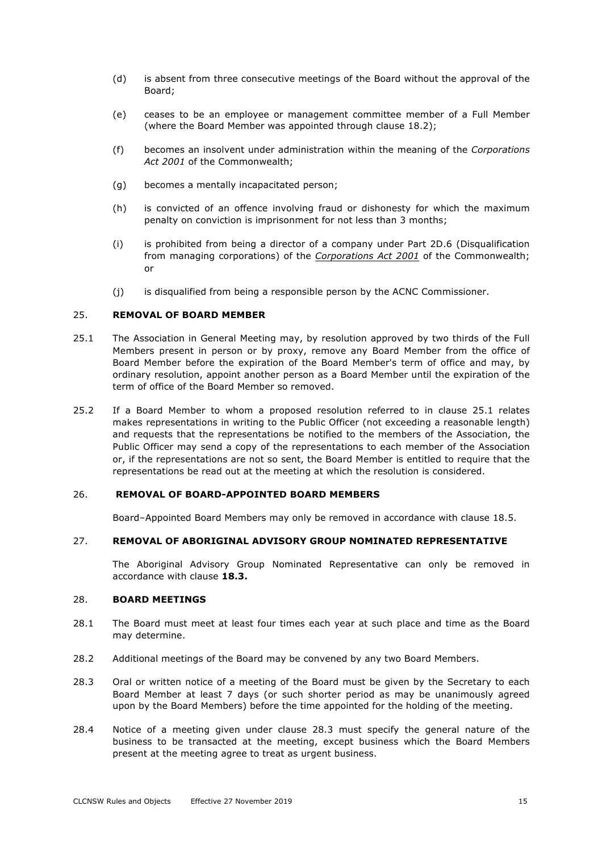- (d) is absent from three consecutive meetings of the Board without the approval of the Board;
- (e) ceases to be an employee or management committee member of a Full Member (where the Board Member was appointed through clause 18.2);
- (f) becomes an insolvent under administration within the meaning of the *Corporations Act 2001* of the Commonwealth;
- (g) becomes a mentally incapacitated person;
- (h) is convicted of an offence involving fraud or dishonesty for which the maximum penalty on conviction is imprisonment for not less than 3 months;
- (i) is prohibited from being a director of a company under Part 2D.6 (Disqualification from managing corporations) of the *Corporations Act 2001* of the Commonwealth; or
- (j) is disqualified from being a responsible person by the ACNC Commissioner.

#### 25. **REMOVAL OF BOARD MEMBER**

- 25.1 The Association in General Meeting may, by resolution approved by two thirds of the Full Members present in person or by proxy, remove any Board Member from the office of Board Member before the expiration of the Board Member's term of office and may, by ordinary resolution, appoint another person as a Board Member until the expiration of the term of office of the Board Member so removed.
- 25.2 If a Board Member to whom a proposed resolution referred to in clause 25.1 relates makes representations in writing to the Public Officer (not exceeding a reasonable length) and requests that the representations be notified to the members of the Association, the Public Officer may send a copy of the representations to each member of the Association or, if the representations are not so sent, the Board Member is entitled to require that the representations be read out at the meeting at which the resolution is considered.

#### 26. **REMOVAL OF BOARD-APPOINTED BOARD MEMBERS**

Board–Appointed Board Members may only be removed in accordance with clause 18.5.

#### 27. **REMOVAL OF ABORIGINAL ADVISORY GROUP NOMINATED REPRESENTATIVE**

The Aboriginal Advisory Group Nominated Representative can only be removed in accordance with clause **18.3.**

#### 28. **BOARD MEETINGS**

- 28.1 The Board must meet at least four times each year at such place and time as the Board may determine.
- 28.2 Additional meetings of the Board may be convened by any two Board Members.
- 28.3 Oral or written notice of a meeting of the Board must be given by the Secretary to each Board Member at least 7 days (or such shorter period as may be unanimously agreed upon by the Board Members) before the time appointed for the holding of the meeting.
- 28.4 Notice of a meeting given under clause 28.3 must specify the general nature of the business to be transacted at the meeting, except business which the Board Members present at the meeting agree to treat as urgent business.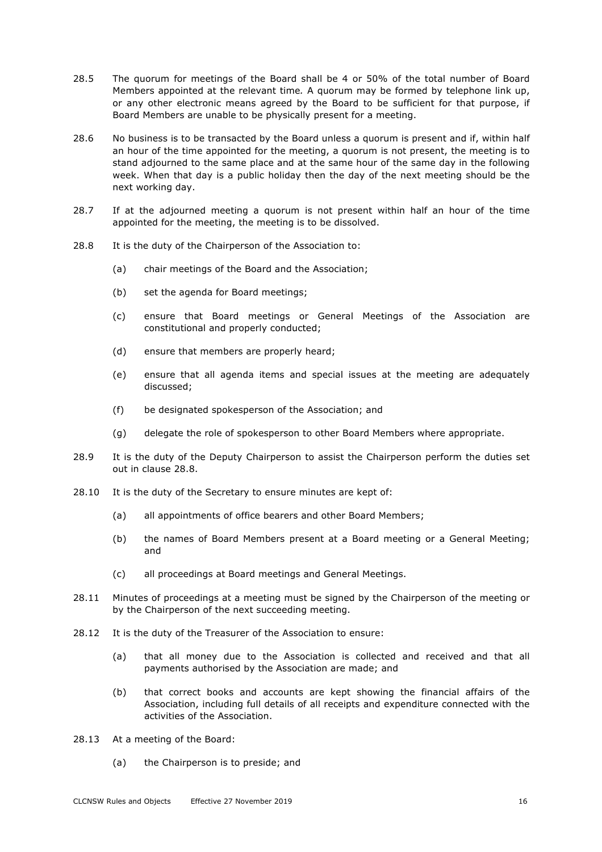- 28.5 The quorum for meetings of the Board shall be 4 or 50% of the total number of Board Members appointed at the relevant time*.* A quorum may be formed by telephone link up, or any other electronic means agreed by the Board to be sufficient for that purpose, if Board Members are unable to be physically present for a meeting.
- 28.6 No business is to be transacted by the Board unless a quorum is present and if, within half an hour of the time appointed for the meeting, a quorum is not present, the meeting is to stand adjourned to the same place and at the same hour of the same day in the following week. When that day is a public holiday then the day of the next meeting should be the next working day.
- 28.7 If at the adjourned meeting a quorum is not present within half an hour of the time appointed for the meeting, the meeting is to be dissolved.
- 28.8 It is the duty of the Chairperson of the Association to:
	- (a) chair meetings of the Board and the Association;
	- (b) set the agenda for Board meetings;
	- (c) ensure that Board meetings or General Meetings of the Association are constitutional and properly conducted;
	- (d) ensure that members are properly heard;
	- (e) ensure that all agenda items and special issues at the meeting are adequately discussed;
	- (f) be designated spokesperson of the Association; and
	- (g) delegate the role of spokesperson to other Board Members where appropriate.
- 28.9 It is the duty of the Deputy Chairperson to assist the Chairperson perform the duties set out in clause 28.8.
- 28.10 It is the duty of the Secretary to ensure minutes are kept of:
	- (a) all appointments of office bearers and other Board Members;
	- (b) the names of Board Members present at a Board meeting or a General Meeting; and
	- (c) all proceedings at Board meetings and General Meetings.
- 28.11 Minutes of proceedings at a meeting must be signed by the Chairperson of the meeting or by the Chairperson of the next succeeding meeting.
- 28.12 It is the duty of the Treasurer of the Association to ensure:
	- (a) that all money due to the Association is collected and received and that all payments authorised by the Association are made; and
	- (b) that correct books and accounts are kept showing the financial affairs of the Association, including full details of all receipts and expenditure connected with the activities of the Association.
- 28.13 At a meeting of the Board:
	- (a) the Chairperson is to preside; and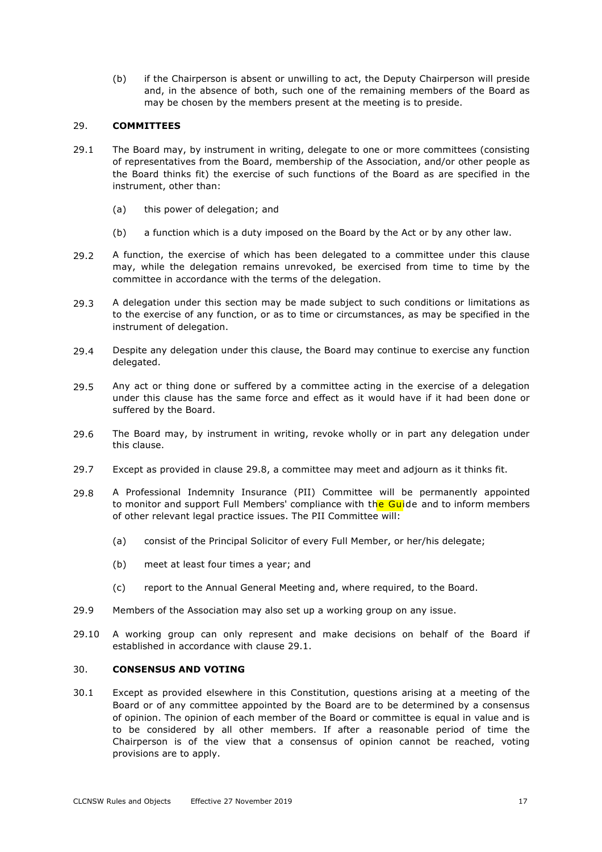(b) if the Chairperson is absent or unwilling to act, the Deputy Chairperson will preside and, in the absence of both, such one of the remaining members of the Board as may be chosen by the members present at the meeting is to preside.

### 29. **COMMITTEES**

- 29.1 The Board may, by instrument in writing, delegate to one or more committees (consisting of representatives from the Board, membership of the Association, and/or other people as the Board thinks fit) the exercise of such functions of the Board as are specified in the instrument, other than:
	- (a) this power of delegation; and
	- (b) a function which is a duty imposed on the Board by the Act or by any other law.
- 29.2 A function, the exercise of which has been delegated to a committee under this clause may, while the delegation remains unrevoked, be exercised from time to time by the committee in accordance with the terms of the delegation.
- 29.3 A delegation under this section may be made subject to such conditions or limitations as to the exercise of any function, or as to time or circumstances, as may be specified in the instrument of delegation.
- 29.4 Despite any delegation under this clause, the Board may continue to exercise any function delegated.
- 29.5 Any act or thing done or suffered by a committee acting in the exercise of a delegation under this clause has the same force and effect as it would have if it had been done or suffered by the Board.
- 29.6 The Board may, by instrument in writing, revoke wholly or in part any delegation under this clause.
- 29.7 Except as provided in clause 29.8, a committee may meet and adjourn as it thinks fit.
- 29.8 A Professional Indemnity Insurance (PII) Committee will be permanently appointed to monitor and support Full Members' compliance with the Guide and to inform members of other relevant legal practice issues. The PII Committee will:
	- (a) consist of the Principal Solicitor of every Full Member, or her/his delegate;
	- (b) meet at least four times a year; and
	- (c) report to the Annual General Meeting and, where required, to the Board.
- 29.9 Members of the Association may also set up a working group on any issue.
- 29.10 A working group can only represent and make decisions on behalf of the Board if established in accordance with clause 29.1.

# 30. **CONSENSUS AND VOTING**

30.1 Except as provided elsewhere in this Constitution, questions arising at a meeting of the Board or of any committee appointed by the Board are to be determined by a consensus of opinion. The opinion of each member of the Board or committee is equal in value and is to be considered by all other members. If after a reasonable period of time the Chairperson is of the view that a consensus of opinion cannot be reached, voting provisions are to apply.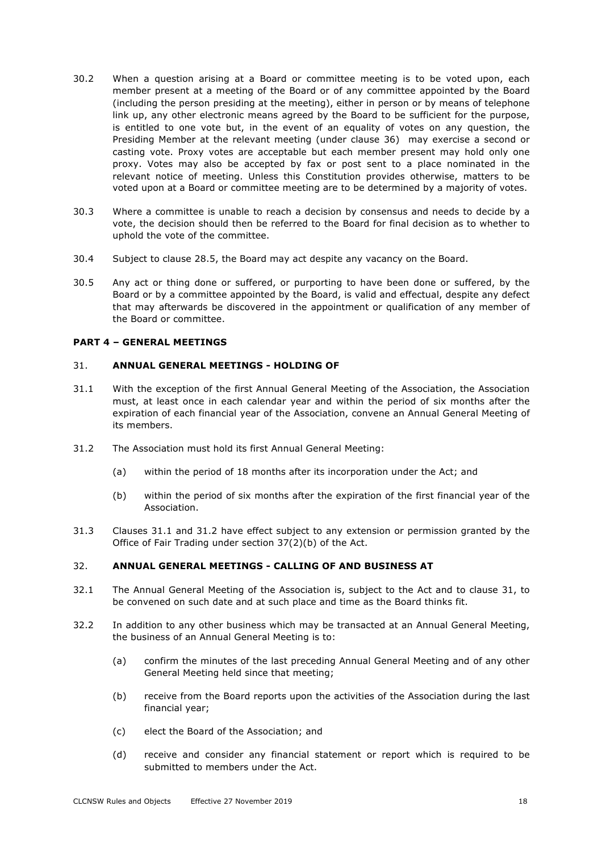- 30.2 When a question arising at a Board or committee meeting is to be voted upon, each member present at a meeting of the Board or of any committee appointed by the Board (including the person presiding at the meeting), either in person or by means of telephone link up, any other electronic means agreed by the Board to be sufficient for the purpose, is entitled to one vote but, in the event of an equality of votes on any question, the Presiding Member at the relevant meeting (under clause 36) may exercise a second or casting vote. Proxy votes are acceptable but each member present may hold only one proxy. Votes may also be accepted by fax or post sent to a place nominated in the relevant notice of meeting. Unless this Constitution provides otherwise, matters to be voted upon at a Board or committee meeting are to be determined by a majority of votes.
- 30.3 Where a committee is unable to reach a decision by consensus and needs to decide by a vote, the decision should then be referred to the Board for final decision as to whether to uphold the vote of the committee.
- 30.4 Subject to clause 28.5, the Board may act despite any vacancy on the Board.
- 30.5 Any act or thing done or suffered, or purporting to have been done or suffered, by the Board or by a committee appointed by the Board, is valid and effectual, despite any defect that may afterwards be discovered in the appointment or qualification of any member of the Board or committee.

#### **PART 4 – GENERAL MEETINGS**

#### 31. **ANNUAL GENERAL MEETINGS - HOLDING OF**

- 31.1 With the exception of the first Annual General Meeting of the Association, the Association must, at least once in each calendar year and within the period of six months after the expiration of each financial year of the Association, convene an Annual General Meeting of its members.
- 31.2 The Association must hold its first Annual General Meeting:
	- (a) within the period of 18 months after its incorporation under the Act; and
	- (b) within the period of six months after the expiration of the first financial year of the Association.
- 31.3 Clauses 31.1 and 31.2 have effect subject to any extension or permission granted by the Office of Fair Trading under section 37(2)(b) of the Act.

#### 32. **ANNUAL GENERAL MEETINGS - CALLING OF AND BUSINESS AT**

- 32.1 The Annual General Meeting of the Association is, subject to the Act and to clause 31, to be convened on such date and at such place and time as the Board thinks fit.
- 32.2 In addition to any other business which may be transacted at an Annual General Meeting, the business of an Annual General Meeting is to:
	- (a) confirm the minutes of the last preceding Annual General Meeting and of any other General Meeting held since that meeting;
	- (b) receive from the Board reports upon the activities of the Association during the last financial year;
	- (c) elect the Board of the Association; and
	- (d) receive and consider any financial statement or report which is required to be submitted to members under the Act.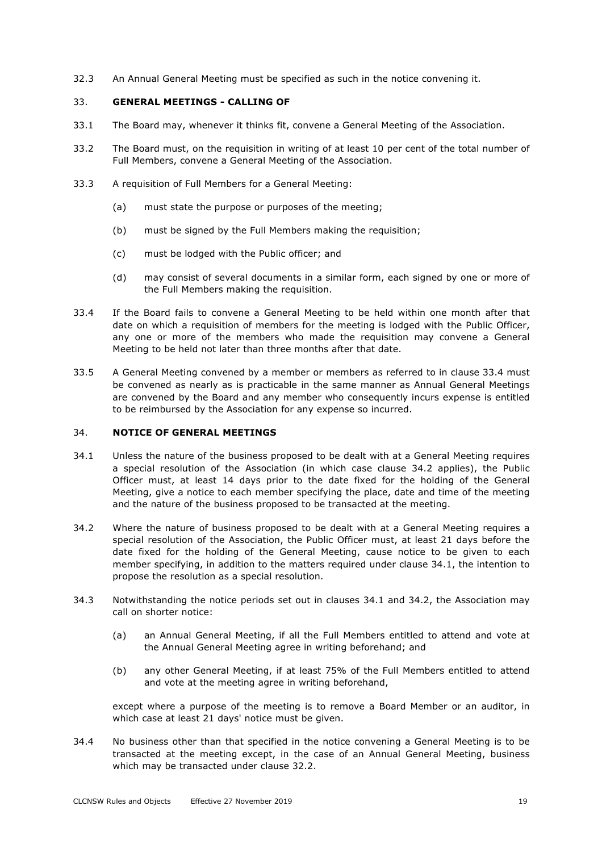32.3 An Annual General Meeting must be specified as such in the notice convening it.

### 33. **GENERAL MEETINGS - CALLING OF**

- 33.1 The Board may, whenever it thinks fit, convene a General Meeting of the Association.
- 33.2 The Board must, on the requisition in writing of at least 10 per cent of the total number of Full Members, convene a General Meeting of the Association.
- 33.3 A requisition of Full Members for a General Meeting:
	- (a) must state the purpose or purposes of the meeting;
	- (b) must be signed by the Full Members making the requisition;
	- (c) must be lodged with the Public officer; and
	- (d) may consist of several documents in a similar form, each signed by one or more of the Full Members making the requisition.
- 33.4 If the Board fails to convene a General Meeting to be held within one month after that date on which a requisition of members for the meeting is lodged with the Public Officer, any one or more of the members who made the requisition may convene a General Meeting to be held not later than three months after that date.
- 33.5 A General Meeting convened by a member or members as referred to in clause 33.4 must be convened as nearly as is practicable in the same manner as Annual General Meetings are convened by the Board and any member who consequently incurs expense is entitled to be reimbursed by the Association for any expense so incurred.

#### 34. **NOTICE OF GENERAL MEETINGS**

- 34.1 Unless the nature of the business proposed to be dealt with at a General Meeting requires a special resolution of the Association (in which case clause 34.2 applies), the Public Officer must, at least 14 days prior to the date fixed for the holding of the General Meeting, give a notice to each member specifying the place, date and time of the meeting and the nature of the business proposed to be transacted at the meeting.
- 34.2 Where the nature of business proposed to be dealt with at a General Meeting requires a special resolution of the Association, the Public Officer must, at least 21 days before the date fixed for the holding of the General Meeting, cause notice to be given to each member specifying, in addition to the matters required under clause 34.1, the intention to propose the resolution as a special resolution.
- 34.3 Notwithstanding the notice periods set out in clauses 34.1 and 34.2, the Association may call on shorter notice:
	- (a) an Annual General Meeting, if all the Full Members entitled to attend and vote at the Annual General Meeting agree in writing beforehand; and
	- (b) any other General Meeting, if at least 75% of the Full Members entitled to attend and vote at the meeting agree in writing beforehand,

except where a purpose of the meeting is to remove a Board Member or an auditor, in which case at least 21 days' notice must be given.

34.4 No business other than that specified in the notice convening a General Meeting is to be transacted at the meeting except, in the case of an Annual General Meeting, business which may be transacted under clause 32.2.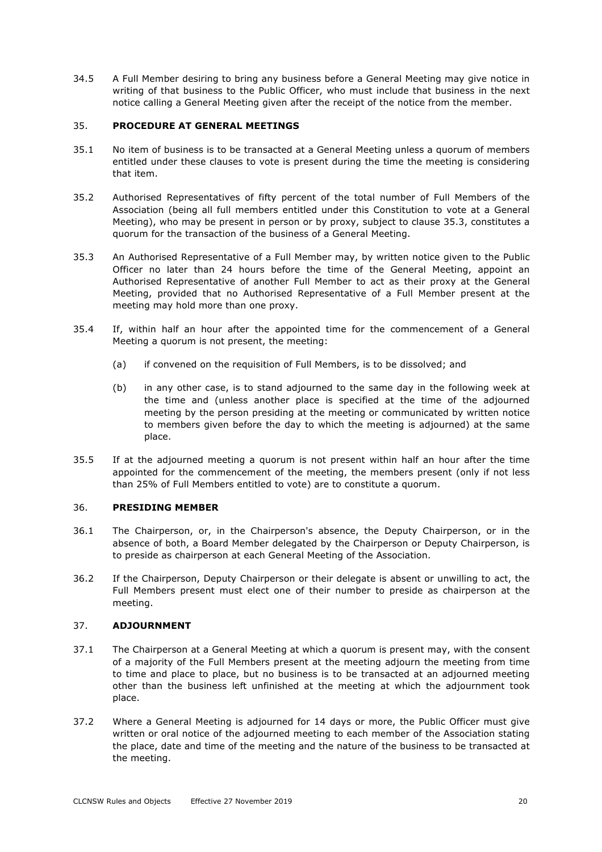34.5 A Full Member desiring to bring any business before a General Meeting may give notice in writing of that business to the Public Officer, who must include that business in the next notice calling a General Meeting given after the receipt of the notice from the member.

### 35. **PROCEDURE AT GENERAL MEETINGS**

- 35.1 No item of business is to be transacted at a General Meeting unless a quorum of members entitled under these clauses to vote is present during the time the meeting is considering that item.
- 35.2 Authorised Representatives of fifty percent of the total number of Full Members of the Association (being all full members entitled under this Constitution to vote at a General Meeting), who may be present in person or by proxy, subject to clause 35.3, constitutes a quorum for the transaction of the business of a General Meeting.
- 35.3 An Authorised Representative of a Full Member may, by written notice given to the Public Officer no later than 24 hours before the time of the General Meeting, appoint an Authorised Representative of another Full Member to act as their proxy at the General Meeting, provided that no Authorised Representative of a Full Member present at the meeting may hold more than one proxy.
- 35.4 If, within half an hour after the appointed time for the commencement of a General Meeting a quorum is not present, the meeting:
	- (a) if convened on the requisition of Full Members, is to be dissolved; and
	- (b) in any other case, is to stand adjourned to the same day in the following week at the time and (unless another place is specified at the time of the adjourned meeting by the person presiding at the meeting or communicated by written notice to members given before the day to which the meeting is adjourned) at the same place.
- 35.5 If at the adjourned meeting a quorum is not present within half an hour after the time appointed for the commencement of the meeting, the members present (only if not less than 25% of Full Members entitled to vote) are to constitute a quorum.

#### 36. **PRESIDING MEMBER**

- 36.1 The Chairperson, or, in the Chairperson's absence, the Deputy Chairperson, or in the absence of both, a Board Member delegated by the Chairperson or Deputy Chairperson, is to preside as chairperson at each General Meeting of the Association.
- 36.2 If the Chairperson, Deputy Chairperson or their delegate is absent or unwilling to act, the Full Members present must elect one of their number to preside as chairperson at the meeting.

# 37. **ADJOURNMENT**

- 37.1 The Chairperson at a General Meeting at which a quorum is present may, with the consent of a majority of the Full Members present at the meeting adjourn the meeting from time to time and place to place, but no business is to be transacted at an adjourned meeting other than the business left unfinished at the meeting at which the adjournment took place.
- 37.2 Where a General Meeting is adjourned for 14 days or more, the Public Officer must give written or oral notice of the adjourned meeting to each member of the Association stating the place, date and time of the meeting and the nature of the business to be transacted at the meeting.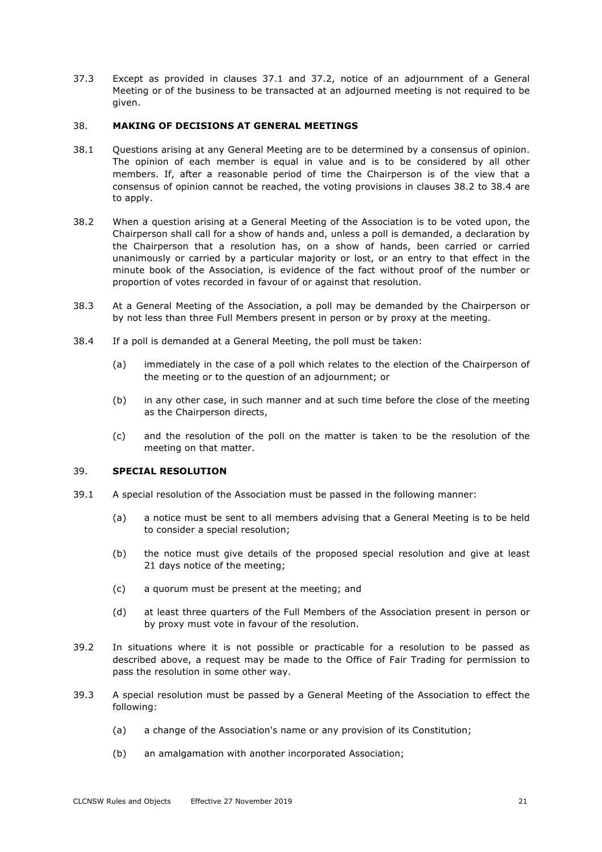37.3 Except as provided in clauses 37.1 and 37.2, notice of an adjournment of a General Meeting or of the business to be transacted at an adjourned meeting is not required to be given.

#### 38. **MAKING OF DECISIONS AT GENERAL MEETINGS**

- 38.1 Questions arising at any General Meeting are to be determined by a consensus of opinion. The opinion of each member is equal in value and is to be considered by all other members. If, after a reasonable period of time the Chairperson is of the view that a consensus of opinion cannot be reached, the voting provisions in clauses 38.2 to 38.4 are to apply.
- 38.2 When a question arising at a General Meeting of the Association is to be voted upon, the Chairperson shall call for a show of hands and, unless a poll is demanded, a declaration by the Chairperson that a resolution has, on a show of hands, been carried or carried unanimously or carried by a particular majority or lost, or an entry to that effect in the minute book of the Association, is evidence of the fact without proof of the number or proportion of votes recorded in favour of or against that resolution.
- 38.3 At a General Meeting of the Association, a poll may be demanded by the Chairperson or by not less than three Full Members present in person or by proxy at the meeting.
- 38.4 If a poll is demanded at a General Meeting, the poll must be taken:
	- (a) immediately in the case of a poll which relates to the election of the Chairperson of the meeting or to the question of an adjournment; or
	- (b) in any other case, in such manner and at such time before the close of the meeting as the Chairperson directs,
	- (c) and the resolution of the poll on the matter is taken to be the resolution of the meeting on that matter.

# 39. **SPECIAL RESOLUTION**

- 39.1 A special resolution of the Association must be passed in the following manner:
	- (a) a notice must be sent to all members advising that a General Meeting is to be held to consider a special resolution;
	- (b) the notice must give details of the proposed special resolution and give at least 21 days notice of the meeting;
	- (c) a quorum must be present at the meeting; and
	- (d) at least three quarters of the Full Members of the Association present in person or by proxy must vote in favour of the resolution.
- 39.2 In situations where it is not possible or practicable for a resolution to be passed as described above, a request may be made to the Office of Fair Trading for permission to pass the resolution in some other way.
- 39.3 A special resolution must be passed by a General Meeting of the Association to effect the following:
	- (a) a change of the Association's name or any provision of its Constitution;
	- (b) an amalgamation with another incorporated Association;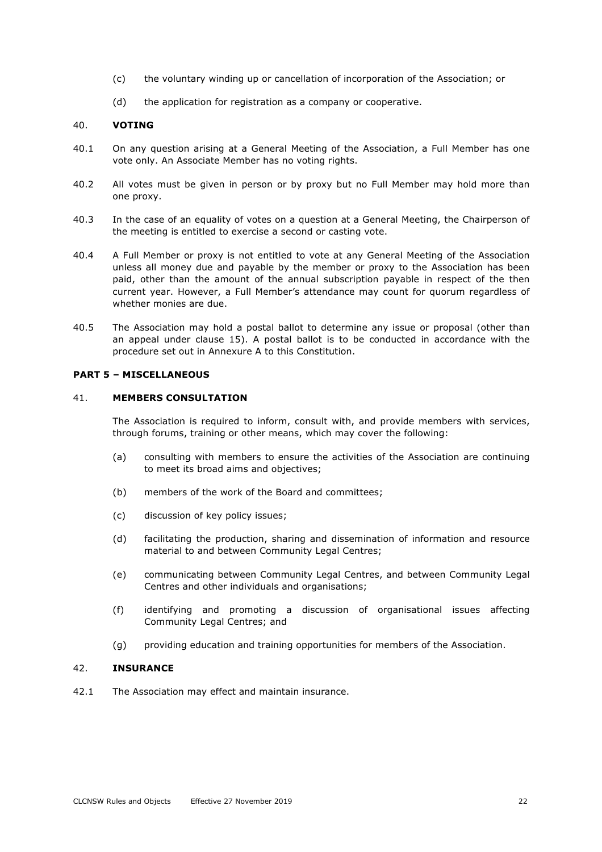- (c) the voluntary winding up or cancellation of incorporation of the Association; or
- (d) the application for registration as a company or cooperative.

#### 40. **VOTING**

- 40.1 On any question arising at a General Meeting of the Association, a Full Member has one vote only. An Associate Member has no voting rights.
- 40.2 All votes must be given in person or by proxy but no Full Member may hold more than one proxy.
- 40.3 In the case of an equality of votes on a question at a General Meeting, the Chairperson of the meeting is entitled to exercise a second or casting vote.
- 40.4 A Full Member or proxy is not entitled to vote at any General Meeting of the Association unless all money due and payable by the member or proxy to the Association has been paid, other than the amount of the annual subscription payable in respect of the then current year. However, a Full Member's attendance may count for quorum regardless of whether monies are due.
- 40.5 The Association may hold a postal ballot to determine any issue or proposal (other than an appeal under clause 15). A postal ballot is to be conducted in accordance with the procedure set out in Annexure A to this Constitution.

# **PART 5 – MISCELLANEOUS**

#### 41. **MEMBERS CONSULTATION**

The Association is required to inform, consult with, and provide members with services, through forums, training or other means, which may cover the following:

- (a) consulting with members to ensure the activities of the Association are continuing to meet its broad aims and objectives;
- (b) members of the work of the Board and committees;
- (c) discussion of key policy issues;
- (d) facilitating the production, sharing and dissemination of information and resource material to and between Community Legal Centres;
- (e) communicating between Community Legal Centres, and between Community Legal Centres and other individuals and organisations;
- (f) identifying and promoting a discussion of organisational issues affecting Community Legal Centres; and
- (g) providing education and training opportunities for members of the Association.

#### 42. **INSURANCE**

42.1 The Association may effect and maintain insurance.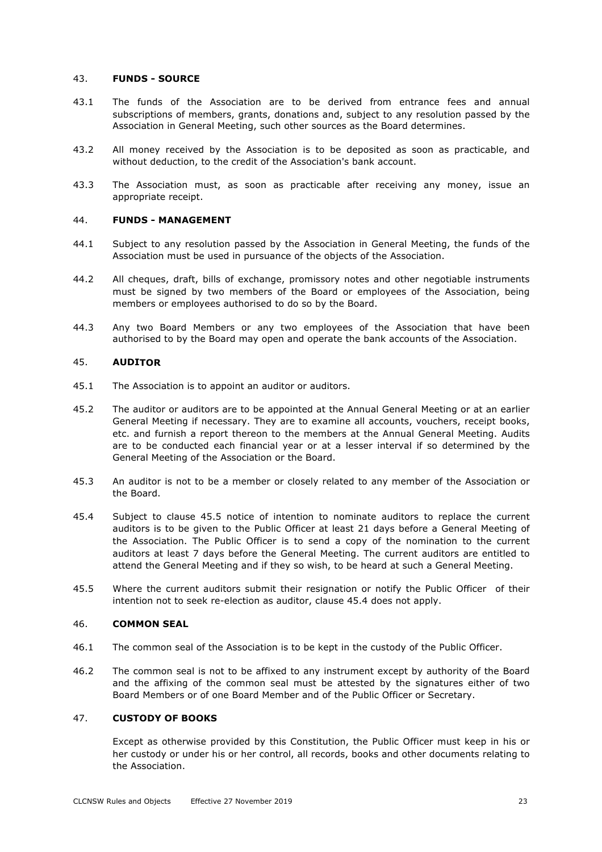### 43. **FUNDS - SOURCE**

- 43.1 The funds of the Association are to be derived from entrance fees and annual subscriptions of members, grants, donations and, subject to any resolution passed by the Association in General Meeting, such other sources as the Board determines.
- 43.2 All money received by the Association is to be deposited as soon as practicable, and without deduction, to the credit of the Association's bank account.
- 43.3 The Association must, as soon as practicable after receiving any money, issue an appropriate receipt.

# 44. **FUNDS - MANAGEMENT**

- 44.1 Subject to any resolution passed by the Association in General Meeting, the funds of the Association must be used in pursuance of the objects of the Association.
- 44.2 All cheques, draft, bills of exchange, promissory notes and other negotiable instruments must be signed by two members of the Board or employees of the Association, being members or employees authorised to do so by the Board.
- 44.3 Any two Board Members or any two employees of the Association that have been authorised to by the Board may open and operate the bank accounts of the Association.

### 45. **AUDITOR**

- 45.1 The Association is to appoint an auditor or auditors.
- 45.2 The auditor or auditors are to be appointed at the Annual General Meeting or at an earlier General Meeting if necessary. They are to examine all accounts, vouchers, receipt books, etc. and furnish a report thereon to the members at the Annual General Meeting. Audits are to be conducted each financial year or at a lesser interval if so determined by the General Meeting of the Association or the Board.
- 45.3 An auditor is not to be a member or closely related to any member of the Association or the Board.
- 45.4 Subject to clause 45.5 notice of intention to nominate auditors to replace the current auditors is to be given to the Public Officer at least 21 days before a General Meeting of the Association. The Public Officer is to send a copy of the nomination to the current auditors at least 7 days before the General Meeting. The current auditors are entitled to attend the General Meeting and if they so wish, to be heard at such a General Meeting.
- 45.5 Where the current auditors submit their resignation or notify the Public Officer of their intention not to seek re-election as auditor, clause 45.4 does not apply.

#### 46. **COMMON SEAL**

- 46.1 The common seal of the Association is to be kept in the custody of the Public Officer.
- 46.2 The common seal is not to be affixed to any instrument except by authority of the Board and the affixing of the common seal must be attested by the signatures either of two Board Members or of one Board Member and of the Public Officer or Secretary.

#### 47. **CUSTODY OF BOOKS**

Except as otherwise provided by this Constitution, the Public Officer must keep in his or her custody or under his or her control, all records, books and other documents relating to the Association.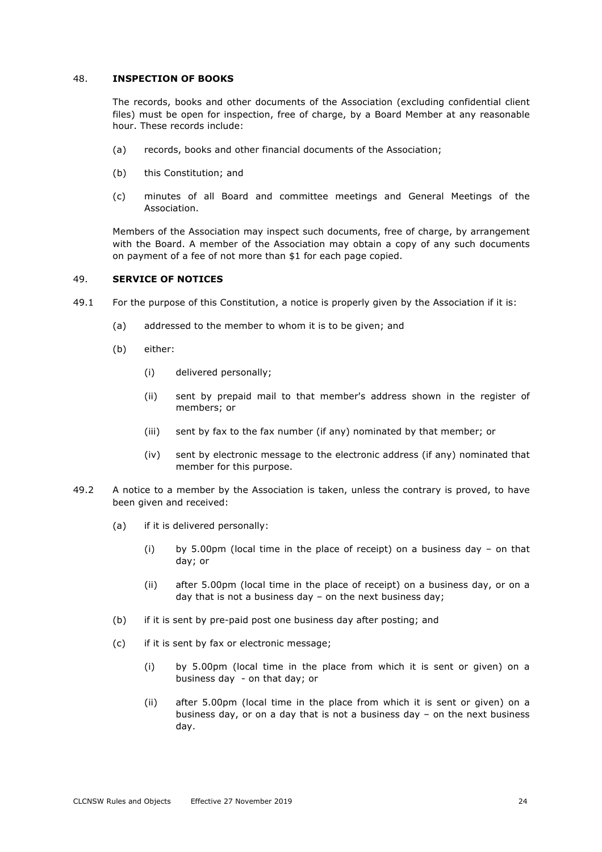#### 48. **INSPECTION OF BOOKS**

The records, books and other documents of the Association (excluding confidential client files) must be open for inspection, free of charge, by a Board Member at any reasonable hour. These records include:

- (a) records, books and other financial documents of the Association;
- (b) this Constitution; and
- (c) minutes of all Board and committee meetings and General Meetings of the Association.

Members of the Association may inspect such documents, free of charge, by arrangement with the Board. A member of the Association may obtain a copy of any such documents on payment of a fee of not more than \$1 for each page copied.

#### 49. **SERVICE OF NOTICES**

- 49.1 For the purpose of this Constitution, a notice is properly given by the Association if it is:
	- (a) addressed to the member to whom it is to be given; and
	- (b) either:
		- (i) delivered personally;
		- (ii) sent by prepaid mail to that member's address shown in the register of members; or
		- (iii) sent by fax to the fax number (if any) nominated by that member; or
		- (iv) sent by electronic message to the electronic address (if any) nominated that member for this purpose.
- 49.2 A notice to a member by the Association is taken, unless the contrary is proved, to have been given and received:
	- (a) if it is delivered personally:
		- (i) by 5.00pm (local time in the place of receipt) on a business day on that day; or
		- (ii) after 5.00pm (local time in the place of receipt) on a business day, or on a day that is not a business day – on the next business day;
	- (b) if it is sent by pre-paid post one business day after posting; and
	- (c) if it is sent by fax or electronic message;
		- (i) by 5.00pm (local time in the place from which it is sent or given) on a business day - on that day; or
		- (ii) after 5.00pm (local time in the place from which it is sent or given) on a business day, or on a day that is not a business day – on the next business day.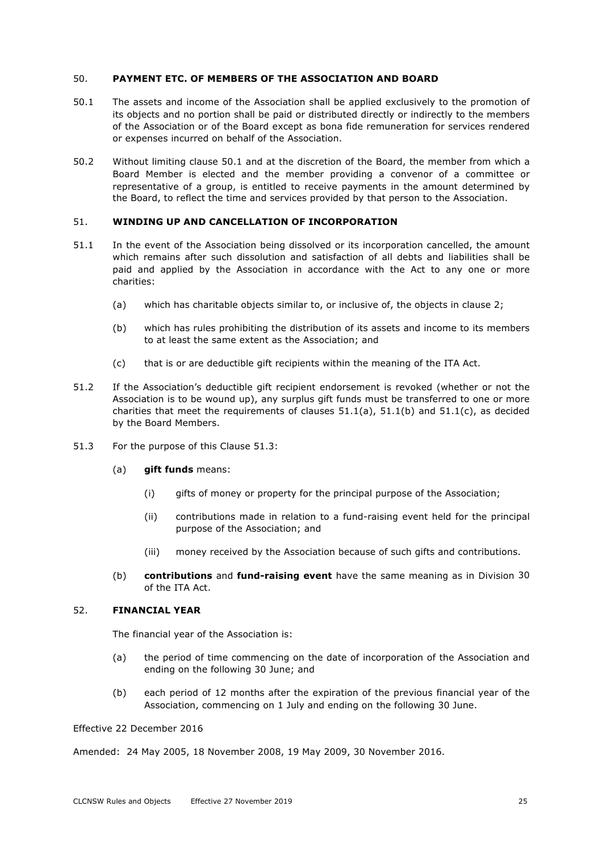#### 50. **PAYMENT ETC. OF MEMBERS OF THE ASSOCIATION AND BOARD**

- 50.1 The assets and income of the Association shall be applied exclusively to the promotion of its objects and no portion shall be paid or distributed directly or indirectly to the members of the Association or of the Board except as bona fide remuneration for services rendered or expenses incurred on behalf of the Association.
- 50.2 Without limiting clause 50.1 and at the discretion of the Board, the member from which a Board Member is elected and the member providing a convenor of a committee or representative of a group, is entitled to receive payments in the amount determined by the Board, to reflect the time and services provided by that person to the Association.

#### 51. **WINDING UP AND CANCELLATION OF INCORPORATION**

- 51.1 In the event of the Association being dissolved or its incorporation cancelled, the amount which remains after such dissolution and satisfaction of all debts and liabilities shall be paid and applied by the Association in accordance with the Act to any one or more charities:
	- (a) which has charitable objects similar to, or inclusive of, the objects in clause 2;
	- (b) which has rules prohibiting the distribution of its assets and income to its members to at least the same extent as the Association; and
	- (c) that is or are deductible gift recipients within the meaning of the ITA Act.
- 51.2 If the Association's deductible gift recipient endorsement is revoked (whether or not the Association is to be wound up), any surplus gift funds must be transferred to one or more charities that meet the requirements of clauses  $51.1(a)$ ,  $51.1(b)$  and  $51.1(c)$ , as decided by the Board Members.
- 51.3 For the purpose of this Clause 51.3:
	- (a) **gift funds** means:
		- (i) gifts of money or property for the principal purpose of the Association;
		- (ii) contributions made in relation to a fund-raising event held for the principal purpose of the Association; and
		- (iii) money received by the Association because of such gifts and contributions.
	- (b) **contributions** and **fund-raising event** have the same meaning as in Division 30 of the ITA Act.

#### 52. **FINANCIAL YEAR**

The financial year of the Association is:

- (a) the period of time commencing on the date of incorporation of the Association and ending on the following 30 June; and
- (b) each period of 12 months after the expiration of the previous financial year of the Association, commencing on 1 July and ending on the following 30 June.

# Effective 22 December 2016

Amended: 24 May 2005, 18 November 2008, 19 May 2009, 30 November 2016.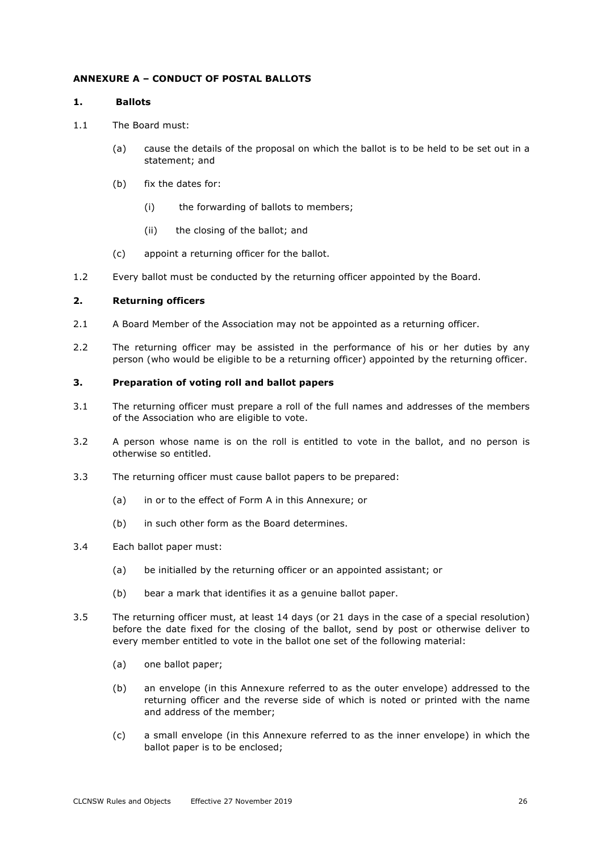### **ANNEXURE A – CONDUCT OF POSTAL BALLOTS**

#### **1. Ballots**

- 1.1 The Board must:
	- (a) cause the details of the proposal on which the ballot is to be held to be set out in a statement; and
	- (b) fix the dates for:
		- (i) the forwarding of ballots to members;
		- (ii) the closing of the ballot; and
	- (c) appoint a returning officer for the ballot.
- 1.2 Every ballot must be conducted by the returning officer appointed by the Board.

#### **2. Returning officers**

- 2.1 A Board Member of the Association may not be appointed as a returning officer.
- 2.2 The returning officer may be assisted in the performance of his or her duties by any person (who would be eligible to be a returning officer) appointed by the returning officer.

#### **3. Preparation of voting roll and ballot papers**

- 3.1 The returning officer must prepare a roll of the full names and addresses of the members of the Association who are eligible to vote.
- 3.2 A person whose name is on the roll is entitled to vote in the ballot, and no person is otherwise so entitled.
- 3.3 The returning officer must cause ballot papers to be prepared:
	- (a) in or to the effect of Form A in this Annexure; or
	- (b) in such other form as the Board determines.
- 3.4 Each ballot paper must:
	- (a) be initialled by the returning officer or an appointed assistant; or
	- (b) bear a mark that identifies it as a genuine ballot paper.
- 3.5 The returning officer must, at least 14 days (or 21 days in the case of a special resolution) before the date fixed for the closing of the ballot, send by post or otherwise deliver to every member entitled to vote in the ballot one set of the following material:
	- (a) one ballot paper;
	- (b) an envelope (in this Annexure referred to as the outer envelope) addressed to the returning officer and the reverse side of which is noted or printed with the name and address of the member;
	- (c) a small envelope (in this Annexure referred to as the inner envelope) in which the ballot paper is to be enclosed;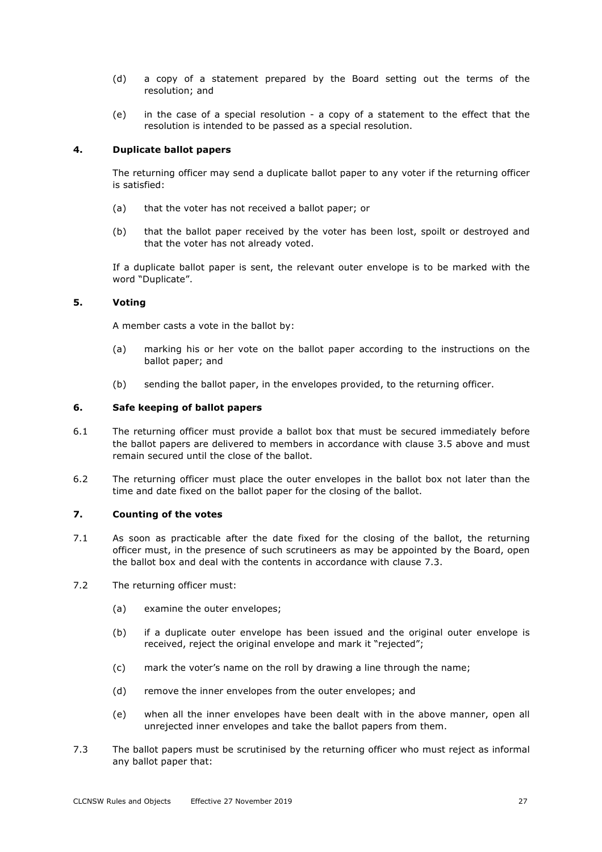- (d) a copy of a statement prepared by the Board setting out the terms of the resolution; and
- (e) in the case of a special resolution a copy of a statement to the effect that the resolution is intended to be passed as a special resolution.

# **4. Duplicate ballot papers**

The returning officer may send a duplicate ballot paper to any voter if the returning officer is satisfied:

- (a) that the voter has not received a ballot paper; or
- (b) that the ballot paper received by the voter has been lost, spoilt or destroyed and that the voter has not already voted.

If a duplicate ballot paper is sent, the relevant outer envelope is to be marked with the word "Duplicate".

#### **5. Voting**

A member casts a vote in the ballot by:

- (a) marking his or her vote on the ballot paper according to the instructions on the ballot paper; and
- (b) sending the ballot paper, in the envelopes provided, to the returning officer.

# **6. Safe keeping of ballot papers**

- 6.1 The returning officer must provide a ballot box that must be secured immediately before the ballot papers are delivered to members in accordance with clause 3.5 above and must remain secured until the close of the ballot.
- 6.2 The returning officer must place the outer envelopes in the ballot box not later than the time and date fixed on the ballot paper for the closing of the ballot.

#### **7. Counting of the votes**

- 7.1 As soon as practicable after the date fixed for the closing of the ballot, the returning officer must, in the presence of such scrutineers as may be appointed by the Board, open the ballot box and deal with the contents in accordance with clause 7.3.
- 7.2 The returning officer must:
	- (a) examine the outer envelopes;
	- (b) if a duplicate outer envelope has been issued and the original outer envelope is received, reject the original envelope and mark it "rejected";
	- (c) mark the voter's name on the roll by drawing a line through the name;
	- (d) remove the inner envelopes from the outer envelopes; and
	- (e) when all the inner envelopes have been dealt with in the above manner, open all unrejected inner envelopes and take the ballot papers from them.
- 7.3 The ballot papers must be scrutinised by the returning officer who must reject as informal any ballot paper that: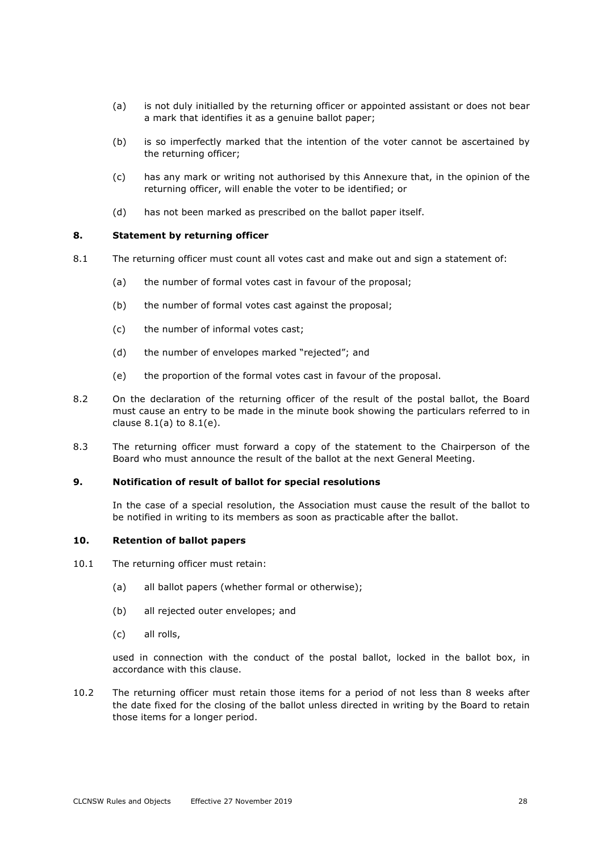- (a) is not duly initialled by the returning officer or appointed assistant or does not bear a mark that identifies it as a genuine ballot paper;
- (b) is so imperfectly marked that the intention of the voter cannot be ascertained by the returning officer;
- (c) has any mark or writing not authorised by this Annexure that, in the opinion of the returning officer, will enable the voter to be identified; or
- (d) has not been marked as prescribed on the ballot paper itself.

# **8. Statement by returning officer**

- 8.1 The returning officer must count all votes cast and make out and sign a statement of:
	- (a) the number of formal votes cast in favour of the proposal;
	- (b) the number of formal votes cast against the proposal;
	- (c) the number of informal votes cast;
	- (d) the number of envelopes marked "rejected"; and
	- (e) the proportion of the formal votes cast in favour of the proposal.
- 8.2 On the declaration of the returning officer of the result of the postal ballot, the Board must cause an entry to be made in the minute book showing the particulars referred to in clause  $8.1(a)$  to  $8.1(e)$ .
- 8.3 The returning officer must forward a copy of the statement to the Chairperson of the Board who must announce the result of the ballot at the next General Meeting.

# **9. Notification of result of ballot for special resolutions**

In the case of a special resolution, the Association must cause the result of the ballot to be notified in writing to its members as soon as practicable after the ballot.

#### **10. Retention of ballot papers**

- 10.1 The returning officer must retain:
	- (a) all ballot papers (whether formal or otherwise);
	- (b) all rejected outer envelopes; and
	- (c) all rolls,

used in connection with the conduct of the postal ballot, locked in the ballot box, in accordance with this clause.

10.2 The returning officer must retain those items for a period of not less than 8 weeks after the date fixed for the closing of the ballot unless directed in writing by the Board to retain those items for a longer period.